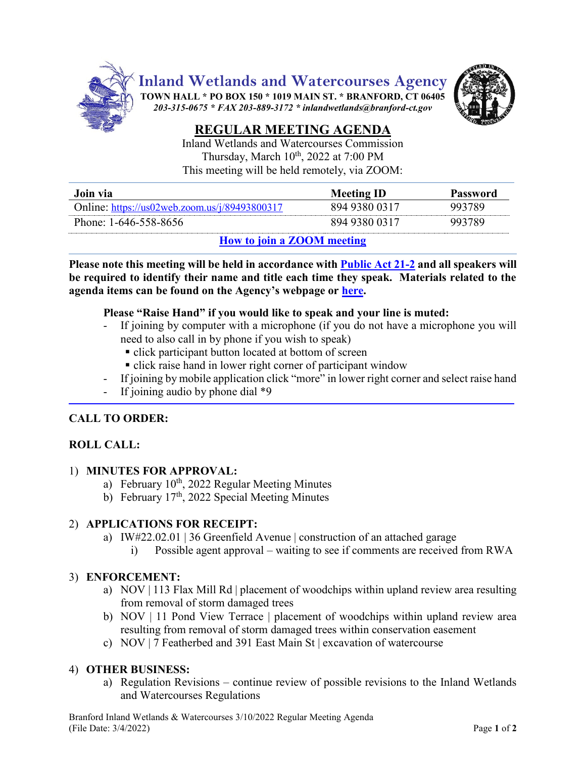

**Inland Wetlands and Watercourses Agency**

**TOWN HALL \* PO BOX 150 \* 1019 MAIN ST. \* BRANFORD, CT 06405** *203-315-0675 \* FAX 203-889-3172 \* inlandwetlands@branford-ct.gov* 



# **REGULAR MEETING AGENDA**

Inland Wetlands and Watercourses Commission Thursday, March 10<sup>th</sup>, 2022 at 7:00 PM This meeting will be held remotely, via ZOOM:

| Join via                                                                                      | <b>Meeting ID</b> | Password |
|-----------------------------------------------------------------------------------------------|-------------------|----------|
| Online: $\frac{https://us02web.zoom.us/j/89493800317}{https://us02web.zoom.us/j/89493800317}$ | 894 9380 0317     | 993789   |
| Phone: 1-646-558-8656                                                                         | 894 9380 0317     | 993789   |

## **How [to join a ZOOM meeting](https://www.youtube.com/embed/hIkCmbvAHQQ?rel=0&autoplay=1&cc_load_policy=1)**

**Please note this meeting will be held in accordance wit[h Public Act 21-2](https://www.cga.ct.gov/2021/ACT/PA/PDF/2021PA-00002-R00SB-01202SS1-PA.PDF) and all speakers will be required to identify their name and title each time they speak. Materials related to the agenda items can be found on the Agency's webpage or [here.](https://www.dropbox.com/sh/aaqscumbqriwlm5/AADJjQJHfo-OSq0EKF8GdRqaa?dl=0)**

#### **Please "Raise Hand" if you would like to speak and your line is muted:**

- If joining by computer with a microphone (if you do not have a microphone you will need to also call in by phone if you wish to speak)
	- click participant button located at bottom of screen
	- **click raise hand in lower right corner of participant window**
- If joining by mobile application click "more" in lower right corner and select raise hand
- If joining audio by phone dial  $*9$

## **CALL TO ORDER:**

## **ROLL CALL:**

#### 1) **MINUTES FOR APPROVAL:**

- a) February 10<sup>th</sup>, 2022 Regular Meeting Minutes
- b) February  $17<sup>th</sup>$ , 2022 Special Meeting Minutes

## 2) **APPLICATIONS FOR RECEIPT:**

- a) IW#22.02.01 | 36 Greenfield Avenue | construction of an attached garage
	- i) Possible agent approval waiting to see if comments are received from RWA

## 3) **ENFORCEMENT:**

- a) NOV | 113 Flax Mill Rd | placement of woodchips within upland review area resulting from removal of storm damaged trees
- b) NOV | 11 Pond View Terrace | placement of woodchips within upland review area resulting from removal of storm damaged trees within conservation easement
- c) NOV | 7 Featherbed and 391 East Main St | excavation of watercourse

## 4) **OTHER BUSINESS:**

a) Regulation Revisions – continue review of possible revisions to the Inland Wetlands and Watercourses Regulations